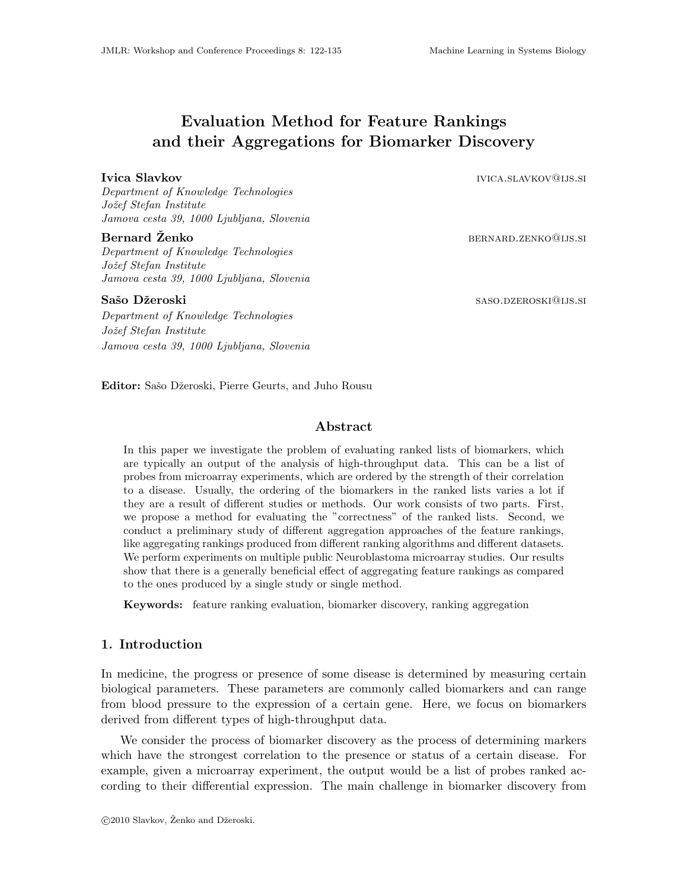# Evaluation Method for Feature Rankings and their Aggregations for Biomarker Discovery

**Ivica Slavkov** ivica.slavkov ivica.slavkov ivica.slavkov on the state of the state of the state of the state of the state of the state of the state of the state of the state of the state of the state of the state of the s

Department of Knowledge Technologies Jožef Stefan Institute Jamova cesta 39, 1000 Ljubljana, Slovenia

Bernard Zenko ˇ bernard.zenko@ijs.si Department of Knowledge Technologies Jožef Stefan Institute Jamova cesta 39, 1000 Ljubljana, Slovenia

Department of Knowledge Technologies Jožef Stefan Institute Jamova cesta 39, 1000 Ljubljana, Slovenia

Sašo Džeroski saso.dzeroski saso.dzeroski saso.dzeroski saso.dzeroski saso.dzeroski saso.dzeroski sastele i sa

Editor: Sašo Džeroski, Pierre Geurts, and Juho Rousu

## Abstract

In this paper we investigate the problem of evaluating ranked lists of biomarkers, which are typically an output of the analysis of high-throughput data. This can be a list of probes from microarray experiments, which are ordered by the strength of their correlation to a disease. Usually, the ordering of the biomarkers in the ranked lists varies a lot if they are a result of different studies or methods. Our work consists of two parts. First, we propose a method for evaluating the "correctness" of the ranked lists. Second, we conduct a preliminary study of different aggregation approaches of the feature rankings, like aggregating rankings produced from different ranking algorithms and different datasets. We perform experiments on multiple public Neuroblastoma microarray studies. Our results show that there is a generally beneficial effect of aggregating feature rankings as compared to the ones produced by a single study or single method.

Keywords: feature ranking evaluation, biomarker discovery, ranking aggregation

## 1. Introduction

In medicine, the progress or presence of some disease is determined by measuring certain biological parameters. These parameters are commonly called biomarkers and can range from blood pressure to the expression of a certain gene. Here, we focus on biomarkers derived from different types of high-throughput data.

We consider the process of biomarker discovery as the process of determining markers which have the strongest correlation to the presence or status of a certain disease. For example, given a microarray experiment, the output would be a list of probes ranked according to their differential expression. The main challenge in biomarker discovery from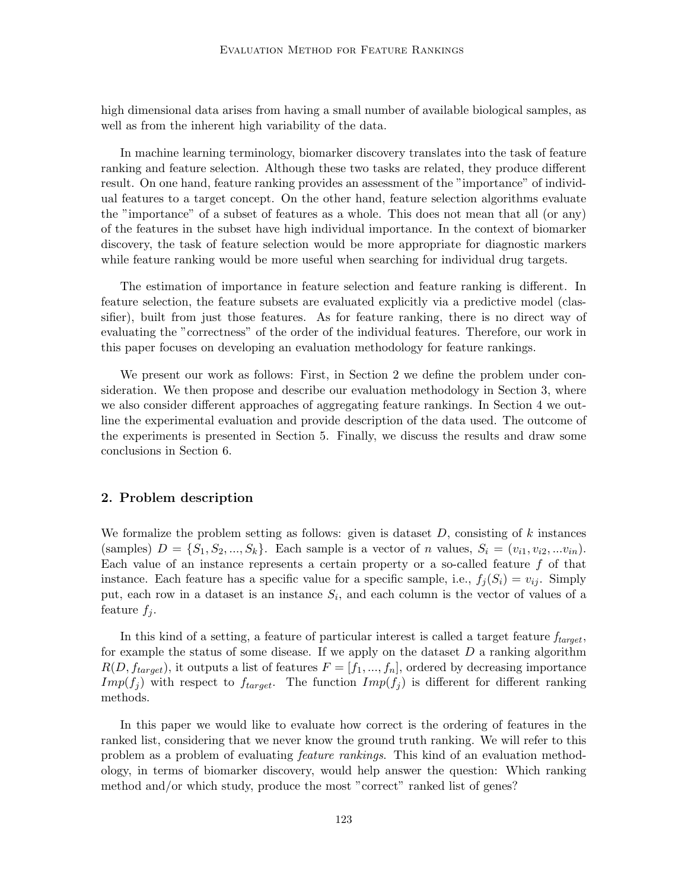high dimensional data arises from having a small number of available biological samples, as well as from the inherent high variability of the data.

In machine learning terminology, biomarker discovery translates into the task of feature ranking and feature selection. Although these two tasks are related, they produce different result. On one hand, feature ranking provides an assessment of the "importance" of individual features to a target concept. On the other hand, feature selection algorithms evaluate the "importance" of a subset of features as a whole. This does not mean that all (or any) of the features in the subset have high individual importance. In the context of biomarker discovery, the task of feature selection would be more appropriate for diagnostic markers while feature ranking would be more useful when searching for individual drug targets.

The estimation of importance in feature selection and feature ranking is different. In feature selection, the feature subsets are evaluated explicitly via a predictive model (classifier), built from just those features. As for feature ranking, there is no direct way of evaluating the "correctness" of the order of the individual features. Therefore, our work in this paper focuses on developing an evaluation methodology for feature rankings.

We present our work as follows: First, in Section 2 we define the problem under consideration. We then propose and describe our evaluation methodology in Section 3, where we also consider different approaches of aggregating feature rankings. In Section 4 we outline the experimental evaluation and provide description of the data used. The outcome of the experiments is presented in Section 5. Finally, we discuss the results and draw some conclusions in Section 6.

### 2. Problem description

We formalize the problem setting as follows: given is dataset  $D$ , consisting of k instances (samples)  $D = \{S_1, S_2, ..., S_k\}$ . Each sample is a vector of n values,  $S_i = (v_{i1}, v_{i2}, ... v_{in}).$ Each value of an instance represents a certain property or a so-called feature f of that instance. Each feature has a specific value for a specific sample, i.e.,  $f_i(S_i) = v_{ij}$ . Simply put, each row in a dataset is an instance  $S_i$ , and each column is the vector of values of a feature  $f_j$ .

In this kind of a setting, a feature of particular interest is called a target feature  $f_{target}$ , for example the status of some disease. If we apply on the dataset  $D$  a ranking algorithm  $R(D, f_{target})$ , it outputs a list of features  $F = [f_1, ..., f_n]$ , ordered by decreasing importance  $Imp(f_j)$  with respect to  $f_{target}$ . The function  $Imp(f_j)$  is different for different ranking methods.

In this paper we would like to evaluate how correct is the ordering of features in the ranked list, considering that we never know the ground truth ranking. We will refer to this problem as a problem of evaluating feature rankings. This kind of an evaluation methodology, in terms of biomarker discovery, would help answer the question: Which ranking method and/or which study, produce the most "correct" ranked list of genes?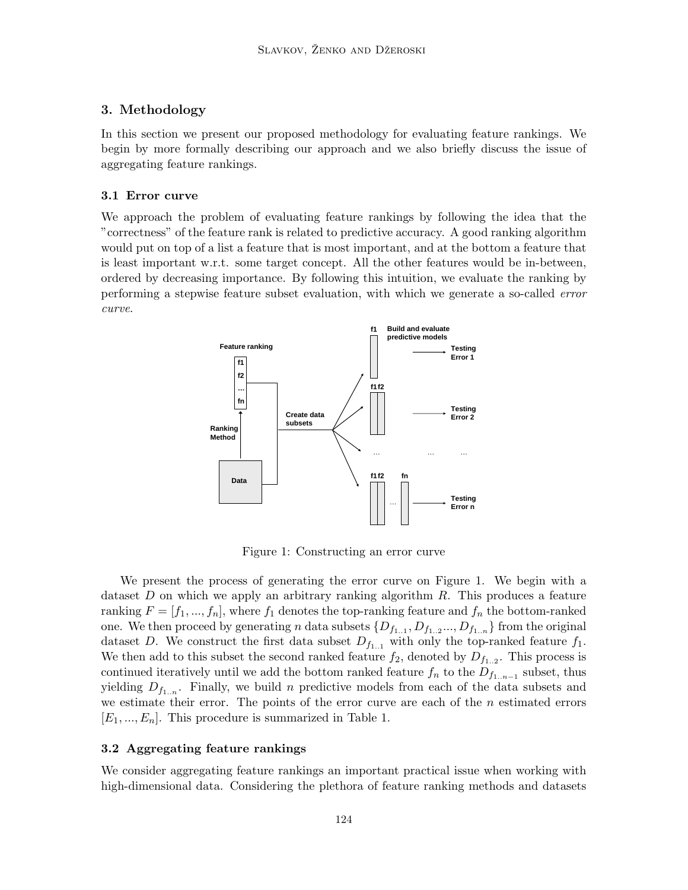## 3. Methodology

In this section we present our proposed methodology for evaluating feature rankings. We begin by more formally describing our approach and we also briefly discuss the issue of aggregating feature rankings.

## 3.1 Error curve

We approach the problem of evaluating feature rankings by following the idea that the "correctness" of the feature rank is related to predictive accuracy. A good ranking algorithm would put on top of a list a feature that is most important, and at the bottom a feature that is least important w.r.t. some target concept. All the other features would be in-between, ordered by decreasing importance. By following this intuition, we evaluate the ranking by performing a stepwise feature subset evaluation, with which we generate a so-called error curve.



Figure 1: Constructing an error curve

We present the process of generating the error curve on Figure 1. We begin with a dataset  $D$  on which we apply an arbitrary ranking algorithm  $R$ . This produces a feature ranking  $F = [f_1, ..., f_n]$ , where  $f_1$  denotes the top-ranking feature and  $f_n$  the bottom-ranked one. We then proceed by generating n data subsets  $\{D_{f_{1..1}}, D_{f_{1..2}}..., D_{f_{1..n}}\}$  from the original dataset D. We construct the first data subset  $D_{f_{1,1}}$  with only the top-ranked feature  $f_1$ . We then add to this subset the second ranked feature  $f_2$ , denoted by  $D_{f_{1..2}}$ . This process is continued iteratively until we add the bottom ranked feature  $f_n$  to the  $D_{f_{1..n-1}}$  subset, thus yielding  $D_{f_{1...n}}$ . Finally, we build n predictive models from each of the data subsets and we estimate their error. The points of the error curve are each of the  $n$  estimated errors  $[E_1, ..., E_n]$ . This procedure is summarized in Table 1.

## 3.2 Aggregating feature rankings

We consider aggregating feature rankings an important practical issue when working with high-dimensional data. Considering the plethora of feature ranking methods and datasets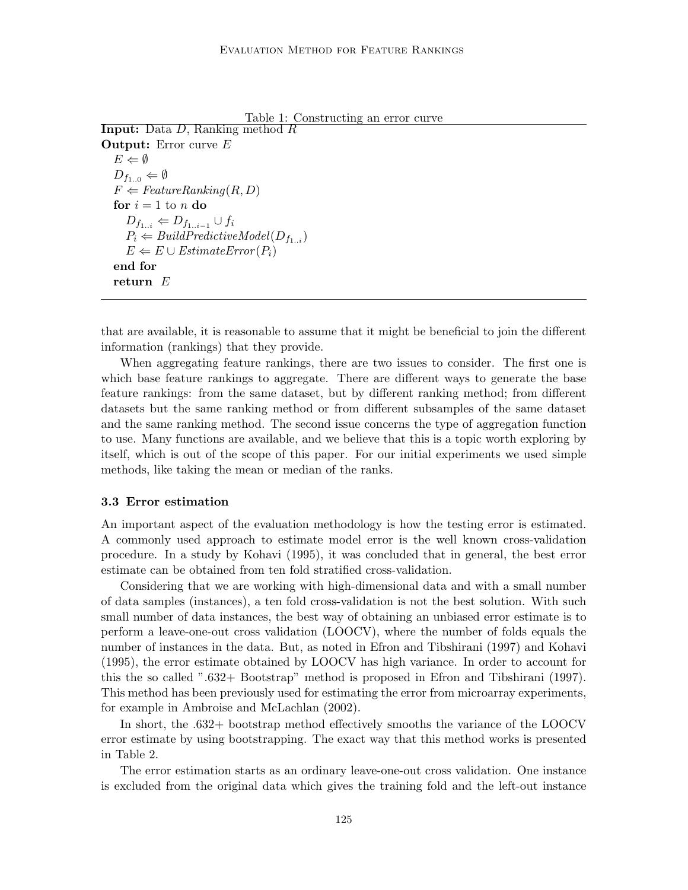```
Table 1: Constructing an error curve
Input: Data D, Ranking method R
Output: Error curve E
  E \Leftarrow \emptysetD_{f_{1,0}} \Leftarrow \emptysetF \Leftarrow FeatureRanking(R, D)for i = 1 to n do
     D_{f_{1..i}} \Leftarrow D_{f_{1..i-1}} \cup f_iP_i \Leftarrow BuildPredictiveModel(D_{f_{1-i}})E \Leftarrow E \cup EstimateError(P_i)end for
  return E
```
that are available, it is reasonable to assume that it might be beneficial to join the different information (rankings) that they provide.

When aggregating feature rankings, there are two issues to consider. The first one is which base feature rankings to aggregate. There are different ways to generate the base feature rankings: from the same dataset, but by different ranking method; from different datasets but the same ranking method or from different subsamples of the same dataset and the same ranking method. The second issue concerns the type of aggregation function to use. Many functions are available, and we believe that this is a topic worth exploring by itself, which is out of the scope of this paper. For our initial experiments we used simple methods, like taking the mean or median of the ranks.

#### 3.3 Error estimation

An important aspect of the evaluation methodology is how the testing error is estimated. A commonly used approach to estimate model error is the well known cross-validation procedure. In a study by Kohavi (1995), it was concluded that in general, the best error estimate can be obtained from ten fold stratified cross-validation.

Considering that we are working with high-dimensional data and with a small number of data samples (instances), a ten fold cross-validation is not the best solution. With such small number of data instances, the best way of obtaining an unbiased error estimate is to perform a leave-one-out cross validation (LOOCV), where the number of folds equals the number of instances in the data. But, as noted in Efron and Tibshirani (1997) and Kohavi (1995), the error estimate obtained by LOOCV has high variance. In order to account for this the so called ".632+ Bootstrap" method is proposed in Efron and Tibshirani (1997). This method has been previously used for estimating the error from microarray experiments, for example in Ambroise and McLachlan (2002).

In short, the .632+ bootstrap method effectively smooths the variance of the LOOCV error estimate by using bootstrapping. The exact way that this method works is presented in Table 2.

The error estimation starts as an ordinary leave-one-out cross validation. One instance is excluded from the original data which gives the training fold and the left-out instance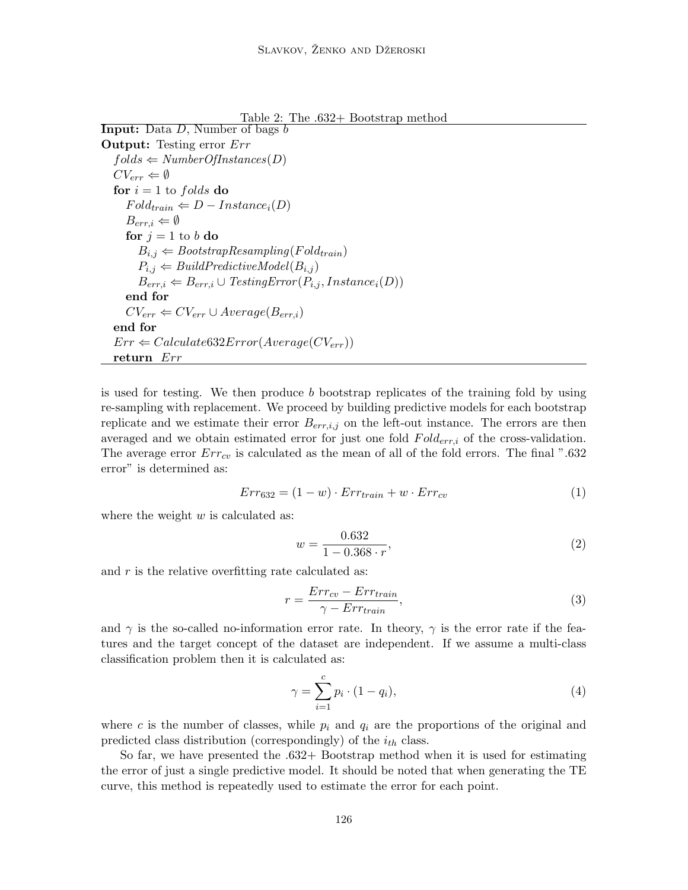Table 2: The .632+ Bootstrap method

Input: Data D, Number of bags b Output: Testing error Err  $folds \leftarrow NumberOfInstances(D)$  $CV_{err} \Leftarrow \emptyset$ for  $i = 1$  to folds do  $Fold_{train} \Leftarrow D-Instance_i(D)$  $B_{err,i} \Leftarrow \emptyset$ for  $j = 1$  to b do  $B_{i,j} \Leftarrow \textit{Boostraphe} sampling(Fold_{train})$  $P_{i,j} \Leftarrow \text{BuildPredictiveModel}(B_{i,j})$  $B_{err,i} \leftarrow B_{err,i} \cup TestingError(P_{i,j},Instance_i(D))$ end for  $CV_{err} \leftarrow CV_{err} \cup Average(B_{err,i})$ end for  $Err \Leftarrow Calculate 632 Error(Average(CV_{err}))$ return Err

is used for testing. We then produce  $b$  bootstrap replicates of the training fold by using re-sampling with replacement. We proceed by building predictive models for each bootstrap replicate and we estimate their error  $B_{err,i,j}$  on the left-out instance. The errors are then averaged and we obtain estimated error for just one fold  $Fold_{err,i}$  of the cross-validation. The average error  $Err_{cv}$  is calculated as the mean of all of the fold errors. The final ".632 error" is determined as:

$$
Err_{632} = (1 - w) \cdot Err_{train} + w \cdot Err_{cv} \tag{1}
$$

where the weight  $w$  is calculated as:

$$
w = \frac{0.632}{1 - 0.368 \cdot r},\tag{2}
$$

and  $r$  is the relative overfitting rate calculated as:

$$
r = \frac{Err_{cv} - Err_{train}}{\gamma - Err_{train}},\tag{3}
$$

and  $\gamma$  is the so-called no-information error rate. In theory,  $\gamma$  is the error rate if the features and the target concept of the dataset are independent. If we assume a multi-class classification problem then it is calculated as:

$$
\gamma = \sum_{i=1}^{c} p_i \cdot (1 - q_i),\tag{4}
$$

where c is the number of classes, while  $p_i$  and  $q_i$  are the proportions of the original and predicted class distribution (correspondingly) of the  $i_{th}$  class.

So far, we have presented the .632+ Bootstrap method when it is used for estimating the error of just a single predictive model. It should be noted that when generating the TE curve, this method is repeatedly used to estimate the error for each point.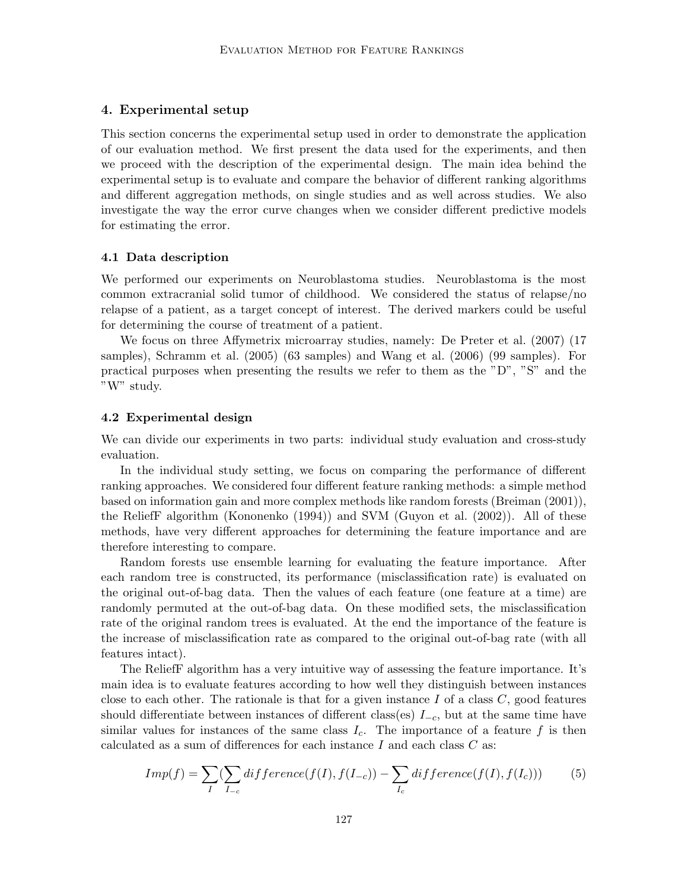## 4. Experimental setup

This section concerns the experimental setup used in order to demonstrate the application of our evaluation method. We first present the data used for the experiments, and then we proceed with the description of the experimental design. The main idea behind the experimental setup is to evaluate and compare the behavior of different ranking algorithms and different aggregation methods, on single studies and as well across studies. We also investigate the way the error curve changes when we consider different predictive models for estimating the error.

#### 4.1 Data description

We performed our experiments on Neuroblastoma studies. Neuroblastoma is the most common extracranial solid tumor of childhood. We considered the status of relapse/no relapse of a patient, as a target concept of interest. The derived markers could be useful for determining the course of treatment of a patient.

We focus on three Affymetrix microarray studies, namely: De Preter et al. (2007) (17 samples), Schramm et al. (2005) (63 samples) and Wang et al. (2006) (99 samples). For practical purposes when presenting the results we refer to them as the "D", "S" and the "W" study.

#### 4.2 Experimental design

We can divide our experiments in two parts: individual study evaluation and cross-study evaluation.

In the individual study setting, we focus on comparing the performance of different ranking approaches. We considered four different feature ranking methods: a simple method based on information gain and more complex methods like random forests (Breiman (2001)), the ReliefF algorithm (Kononenko (1994)) and SVM (Guyon et al. (2002)). All of these methods, have very different approaches for determining the feature importance and are therefore interesting to compare.

Random forests use ensemble learning for evaluating the feature importance. After each random tree is constructed, its performance (misclassification rate) is evaluated on the original out-of-bag data. Then the values of each feature (one feature at a time) are randomly permuted at the out-of-bag data. On these modified sets, the misclassification rate of the original random trees is evaluated. At the end the importance of the feature is the increase of misclassification rate as compared to the original out-of-bag rate (with all features intact).

The ReliefF algorithm has a very intuitive way of assessing the feature importance. It's main idea is to evaluate features according to how well they distinguish between instances close to each other. The rationale is that for a given instance I of a class  $C$ , good features should differentiate between instances of different class(es)  $I_{-c}$ , but at the same time have similar values for instances of the same class  $I_c$ . The importance of a feature f is then calculated as a sum of differences for each instance  $I$  and each class  $C$  as:

$$
Imp(f) = \sum_{I} (\sum_{I_{-c}} diffference(f(I), f(I_{-c})) - \sum_{I_c} diffference(f(I), f(I_c)))
$$
 (5)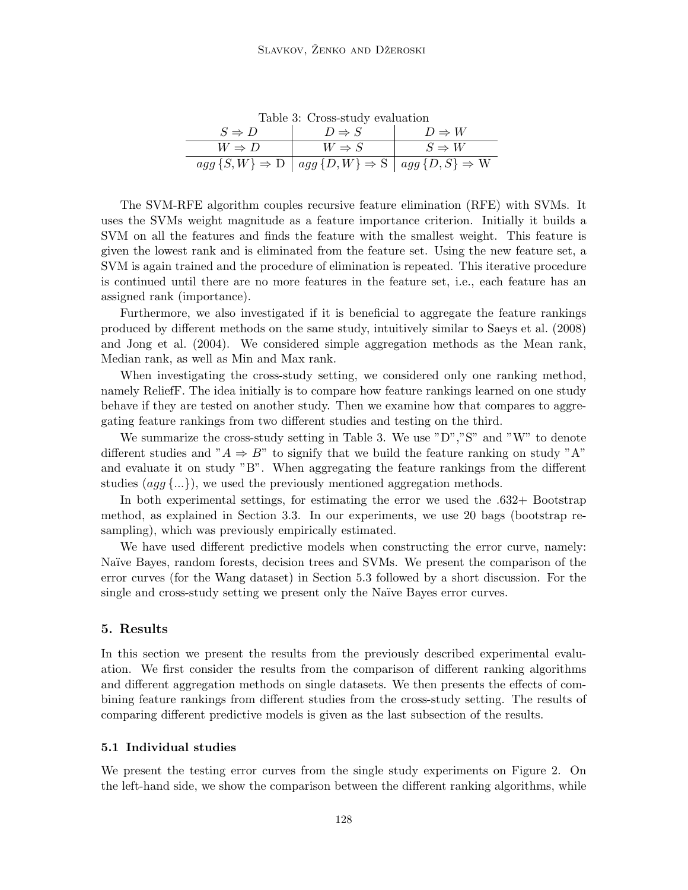| rable 5: Cross-study evaluation |                                                                                   |                   |
|---------------------------------|-----------------------------------------------------------------------------------|-------------------|
| $S \Rightarrow D$               | $D \Rightarrow S$                                                                 | $D \Rightarrow W$ |
| $W \Rightarrow D$               | $W \Rightarrow S$                                                                 | $S \Rightarrow W$ |
|                                 | $agg\{S,W\}\Rightarrow D\mid agg\{D,W\}\Rightarrow S\mid agg\{D,S\}\Rightarrow W$ |                   |

 $T<sub>ab</sub>$ lale 3: Cross-study evaluation

The SVM-RFE algorithm couples recursive feature elimination (RFE) with SVMs. It uses the SVMs weight magnitude as a feature importance criterion. Initially it builds a SVM on all the features and finds the feature with the smallest weight. This feature is given the lowest rank and is eliminated from the feature set. Using the new feature set, a SVM is again trained and the procedure of elimination is repeated. This iterative procedure is continued until there are no more features in the feature set, i.e., each feature has an assigned rank (importance).

Furthermore, we also investigated if it is beneficial to aggregate the feature rankings produced by different methods on the same study, intuitively similar to Saeys et al. (2008) and Jong et al. (2004). We considered simple aggregation methods as the Mean rank, Median rank, as well as Min and Max rank.

When investigating the cross-study setting, we considered only one ranking method, namely ReliefF. The idea initially is to compare how feature rankings learned on one study behave if they are tested on another study. Then we examine how that compares to aggregating feature rankings from two different studies and testing on the third.

We summarize the cross-study setting in Table 3. We use "D","S" and "W" to denote different studies and " $A \Rightarrow B$ " to signify that we build the feature ranking on study "A" and evaluate it on study "B". When aggregating the feature rankings from the different studies  $(aq\overline{q},...),$  we used the previously mentioned aggregation methods.

In both experimental settings, for estimating the error we used the .632+ Bootstrap method, as explained in Section 3.3. In our experiments, we use 20 bags (bootstrap resampling), which was previously empirically estimated.

We have used different predictive models when constructing the error curve, namely: Naïve Bayes, random forests, decision trees and SVMs. We present the comparison of the error curves (for the Wang dataset) in Section 5.3 followed by a short discussion. For the single and cross-study setting we present only the Naïve Bayes error curves.

## 5. Results

In this section we present the results from the previously described experimental evaluation. We first consider the results from the comparison of different ranking algorithms and different aggregation methods on single datasets. We then presents the effects of combining feature rankings from different studies from the cross-study setting. The results of comparing different predictive models is given as the last subsection of the results.

## 5.1 Individual studies

We present the testing error curves from the single study experiments on Figure 2. On the left-hand side, we show the comparison between the different ranking algorithms, while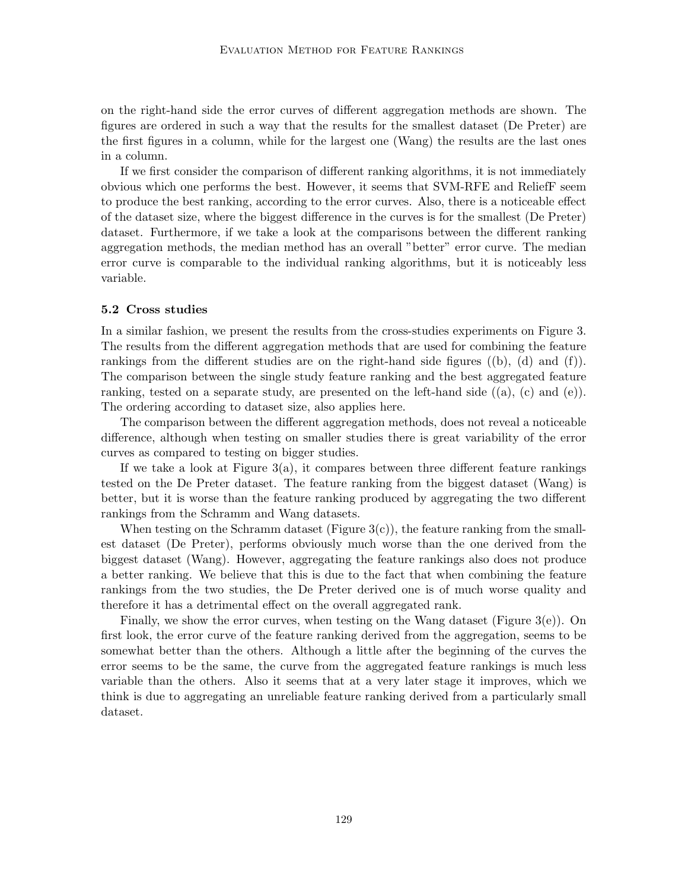on the right-hand side the error curves of different aggregation methods are shown. The figures are ordered in such a way that the results for the smallest dataset (De Preter) are the first figures in a column, while for the largest one (Wang) the results are the last ones in a column.

If we first consider the comparison of different ranking algorithms, it is not immediately obvious which one performs the best. However, it seems that SVM-RFE and ReliefF seem to produce the best ranking, according to the error curves. Also, there is a noticeable effect of the dataset size, where the biggest difference in the curves is for the smallest (De Preter) dataset. Furthermore, if we take a look at the comparisons between the different ranking aggregation methods, the median method has an overall "better" error curve. The median error curve is comparable to the individual ranking algorithms, but it is noticeably less variable.

### 5.2 Cross studies

In a similar fashion, we present the results from the cross-studies experiments on Figure 3. The results from the different aggregation methods that are used for combining the feature rankings from the different studies are on the right-hand side figures ((b), (d) and (f)). The comparison between the single study feature ranking and the best aggregated feature ranking, tested on a separate study, are presented on the left-hand side  $((a), (c)$  and  $(e)$ ). The ordering according to dataset size, also applies here.

The comparison between the different aggregation methods, does not reveal a noticeable difference, although when testing on smaller studies there is great variability of the error curves as compared to testing on bigger studies.

If we take a look at Figure  $3(a)$ , it compares between three different feature rankings tested on the De Preter dataset. The feature ranking from the biggest dataset (Wang) is better, but it is worse than the feature ranking produced by aggregating the two different rankings from the Schramm and Wang datasets.

When testing on the Schramm dataset (Figure  $3(c)$ ), the feature ranking from the smallest dataset (De Preter), performs obviously much worse than the one derived from the biggest dataset (Wang). However, aggregating the feature rankings also does not produce a better ranking. We believe that this is due to the fact that when combining the feature rankings from the two studies, the De Preter derived one is of much worse quality and therefore it has a detrimental effect on the overall aggregated rank.

Finally, we show the error curves, when testing on the Wang dataset (Figure 3(e)). On first look, the error curve of the feature ranking derived from the aggregation, seems to be somewhat better than the others. Although a little after the beginning of the curves the error seems to be the same, the curve from the aggregated feature rankings is much less variable than the others. Also it seems that at a very later stage it improves, which we think is due to aggregating an unreliable feature ranking derived from a particularly small dataset.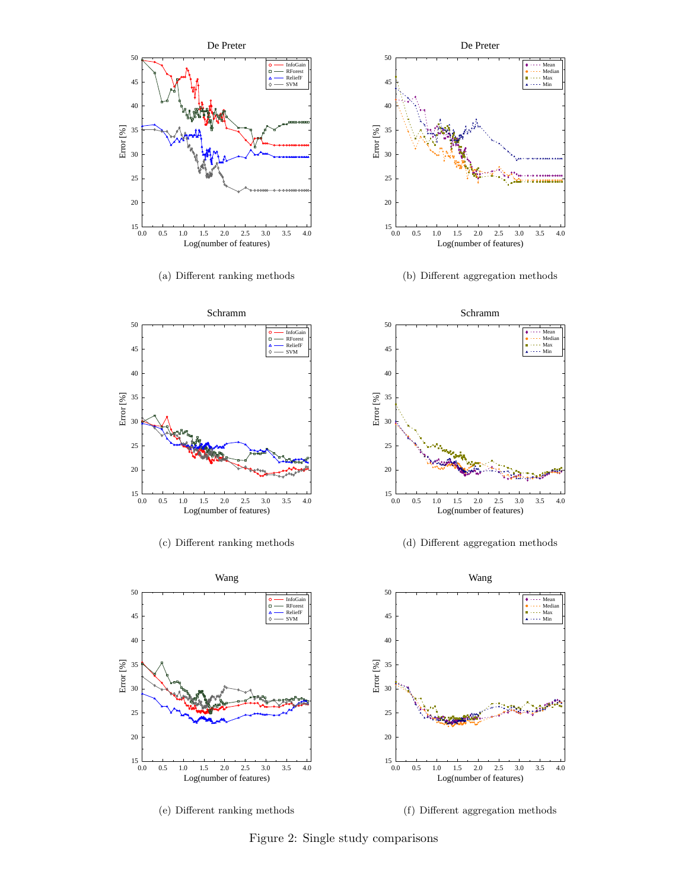

(a) Different ranking methods



(b) Different aggregation methods



(c) Different ranking methods



(d) Different aggregation methods



(e) Different ranking methods

(f) Different aggregation methods

Figure 2: Single study comparisons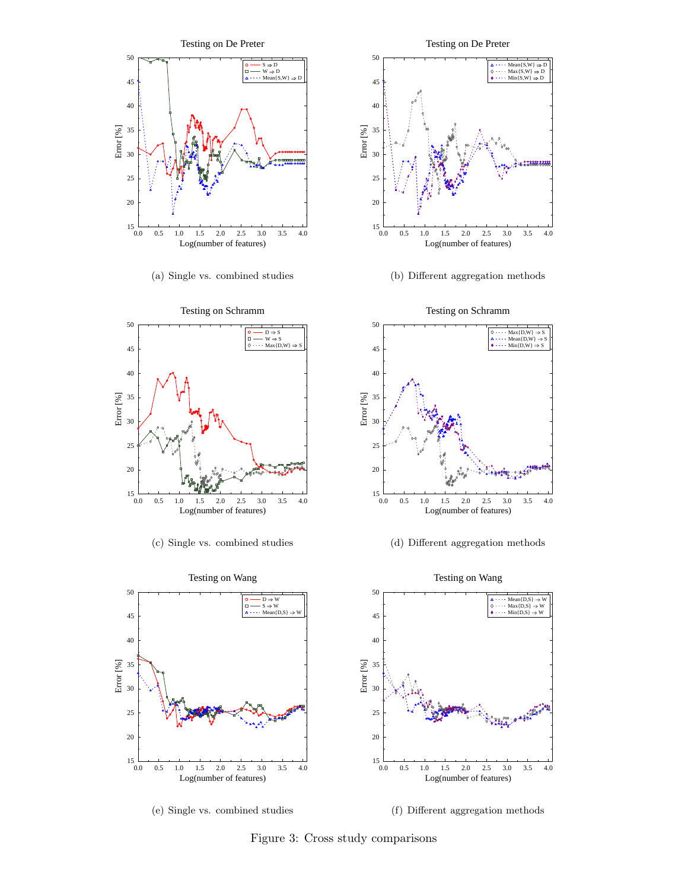

(a) Single vs. combined studies



(c) Single vs. combined studies



(b) Different aggregation methods



(d) Different aggregation methods



(e) Single vs. combined studies

(f) Different aggregation methods

Figure 3: Cross study comparisons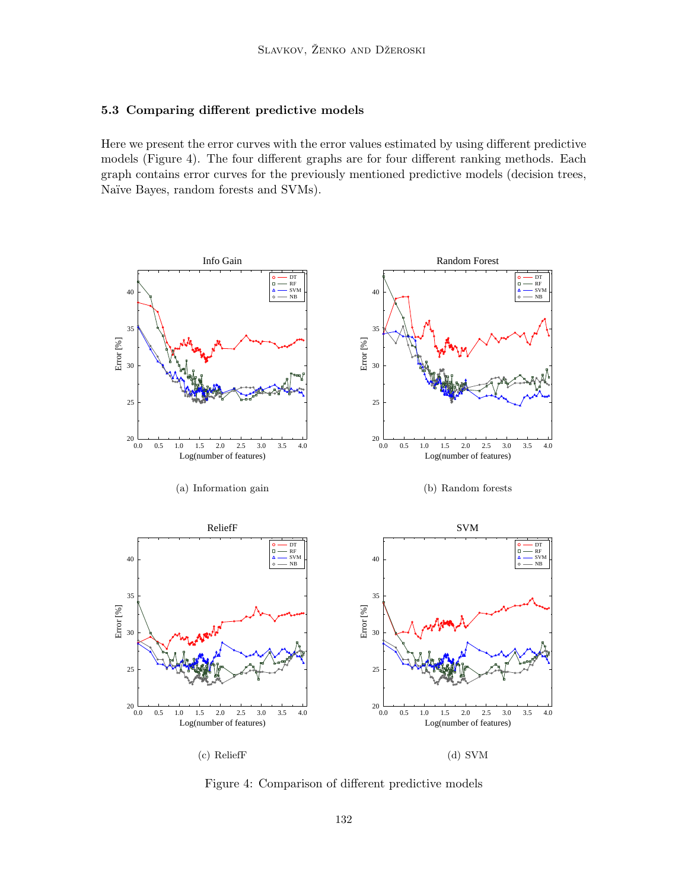## 5.3 Comparing different predictive models

Here we present the error curves with the error values estimated by using different predictive models (Figure 4). The four different graphs are for four different ranking methods. Each graph contains error curves for the previously mentioned predictive models (decision trees, Naïve Bayes, random forests and SVMs).



Figure 4: Comparison of different predictive models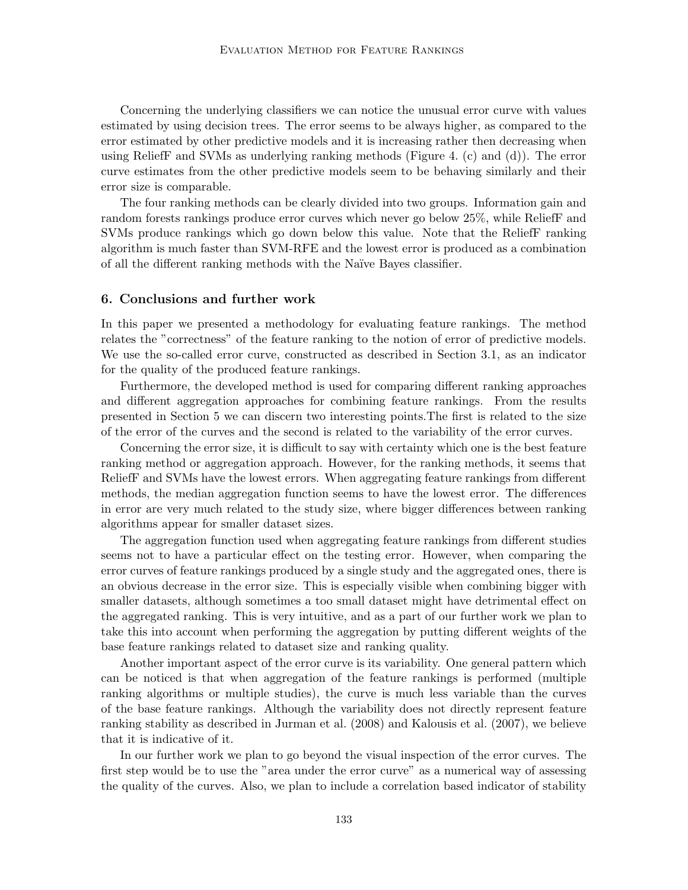Concerning the underlying classifiers we can notice the unusual error curve with values estimated by using decision trees. The error seems to be always higher, as compared to the error estimated by other predictive models and it is increasing rather then decreasing when using ReliefF and SVMs as underlying ranking methods (Figure 4. (c) and (d)). The error curve estimates from the other predictive models seem to be behaving similarly and their error size is comparable.

The four ranking methods can be clearly divided into two groups. Information gain and random forests rankings produce error curves which never go below 25%, while ReliefF and SVMs produce rankings which go down below this value. Note that the ReliefF ranking algorithm is much faster than SVM-RFE and the lowest error is produced as a combination of all the different ranking methods with the Na¨ıve Bayes classifier.

## 6. Conclusions and further work

In this paper we presented a methodology for evaluating feature rankings. The method relates the "correctness" of the feature ranking to the notion of error of predictive models. We use the so-called error curve, constructed as described in Section 3.1, as an indicator for the quality of the produced feature rankings.

Furthermore, the developed method is used for comparing different ranking approaches and different aggregation approaches for combining feature rankings. From the results presented in Section 5 we can discern two interesting points.The first is related to the size of the error of the curves and the second is related to the variability of the error curves.

Concerning the error size, it is difficult to say with certainty which one is the best feature ranking method or aggregation approach. However, for the ranking methods, it seems that ReliefF and SVMs have the lowest errors. When aggregating feature rankings from different methods, the median aggregation function seems to have the lowest error. The differences in error are very much related to the study size, where bigger differences between ranking algorithms appear for smaller dataset sizes.

The aggregation function used when aggregating feature rankings from different studies seems not to have a particular effect on the testing error. However, when comparing the error curves of feature rankings produced by a single study and the aggregated ones, there is an obvious decrease in the error size. This is especially visible when combining bigger with smaller datasets, although sometimes a too small dataset might have detrimental effect on the aggregated ranking. This is very intuitive, and as a part of our further work we plan to take this into account when performing the aggregation by putting different weights of the base feature rankings related to dataset size and ranking quality.

Another important aspect of the error curve is its variability. One general pattern which can be noticed is that when aggregation of the feature rankings is performed (multiple ranking algorithms or multiple studies), the curve is much less variable than the curves of the base feature rankings. Although the variability does not directly represent feature ranking stability as described in Jurman et al. (2008) and Kalousis et al. (2007), we believe that it is indicative of it.

In our further work we plan to go beyond the visual inspection of the error curves. The first step would be to use the "area under the error curve" as a numerical way of assessing the quality of the curves. Also, we plan to include a correlation based indicator of stability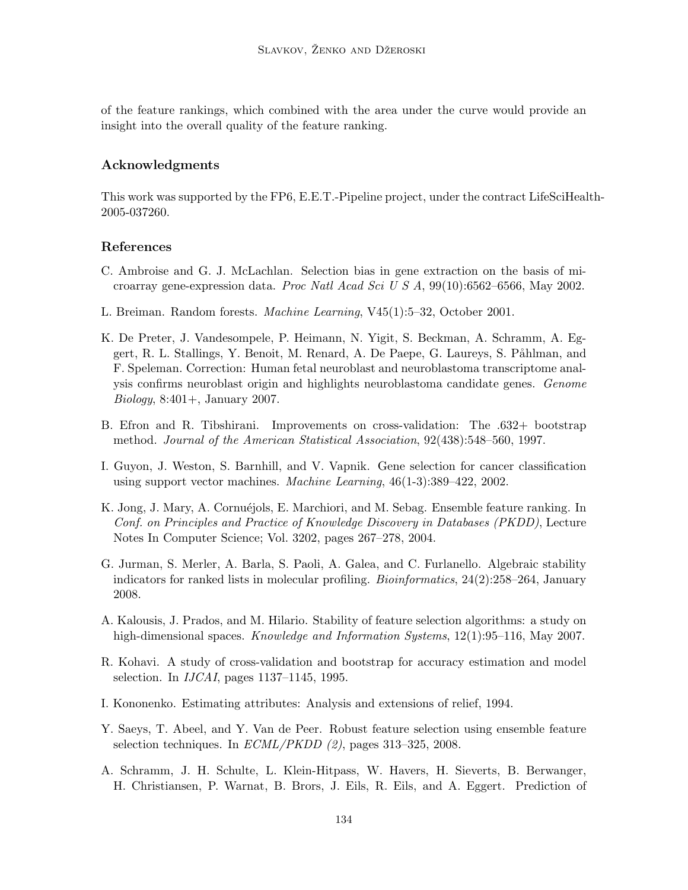of the feature rankings, which combined with the area under the curve would provide an insight into the overall quality of the feature ranking.

## Acknowledgments

This work was supported by the FP6, E.E.T.-Pipeline project, under the contract LifeSciHealth-2005-037260.

## References

- C. Ambroise and G. J. McLachlan. Selection bias in gene extraction on the basis of microarray gene-expression data. Proc Natl Acad Sci U S A, 99(10):6562–6566, May 2002.
- L. Breiman. Random forests. Machine Learning, V45(1):5–32, October 2001.
- K. De Preter, J. Vandesompele, P. Heimann, N. Yigit, S. Beckman, A. Schramm, A. Eggert, R. L. Stallings, Y. Benoit, M. Renard, A. De Paepe, G. Laureys, S. Påhlman, and F. Speleman. Correction: Human fetal neuroblast and neuroblastoma transcriptome analysis confirms neuroblast origin and highlights neuroblastoma candidate genes. Genome Biology, 8:401+, January 2007.
- B. Efron and R. Tibshirani. Improvements on cross-validation: The .632+ bootstrap method. Journal of the American Statistical Association, 92(438):548–560, 1997.
- I. Guyon, J. Weston, S. Barnhill, and V. Vapnik. Gene selection for cancer classification using support vector machines. Machine Learning, 46(1-3):389–422, 2002.
- K. Jong, J. Mary, A. Cornuéjols, E. Marchiori, and M. Sebag. Ensemble feature ranking. In Conf. on Principles and Practice of Knowledge Discovery in Databases (PKDD), Lecture Notes In Computer Science; Vol. 3202, pages 267–278, 2004.
- G. Jurman, S. Merler, A. Barla, S. Paoli, A. Galea, and C. Furlanello. Algebraic stability indicators for ranked lists in molecular profiling. Bioinformatics, 24(2):258–264, January 2008.
- A. Kalousis, J. Prados, and M. Hilario. Stability of feature selection algorithms: a study on high-dimensional spaces. Knowledge and Information Systems, 12(1):95–116, May 2007.
- R. Kohavi. A study of cross-validation and bootstrap for accuracy estimation and model selection. In IJCAI, pages 1137–1145, 1995.
- I. Kononenko. Estimating attributes: Analysis and extensions of relief, 1994.
- Y. Saeys, T. Abeel, and Y. Van de Peer. Robust feature selection using ensemble feature selection techniques. In  $ECML/PKDD$  (2), pages 313–325, 2008.
- A. Schramm, J. H. Schulte, L. Klein-Hitpass, W. Havers, H. Sieverts, B. Berwanger, H. Christiansen, P. Warnat, B. Brors, J. Eils, R. Eils, and A. Eggert. Prediction of